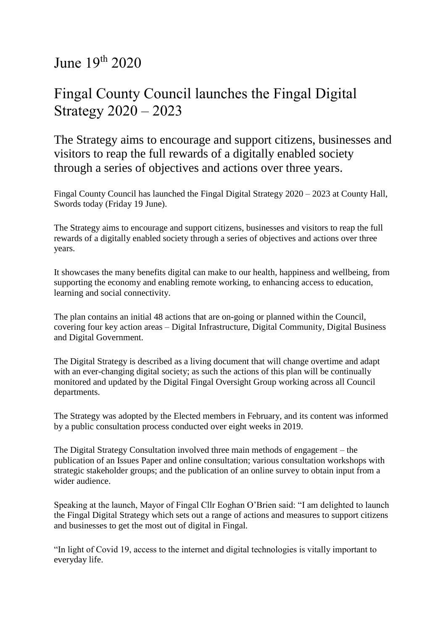June 19th 2020

## Fingal County Council launches the Fingal Digital Strategy 2020 – 2023

The Strategy aims to encourage and support citizens, businesses and visitors to reap the full rewards of a digitally enabled society through a series of objectives and actions over three years.

Fingal County Council has launched the Fingal Digital Strategy 2020 – 2023 at County Hall, Swords today (Friday 19 June).

The Strategy aims to encourage and support citizens, businesses and visitors to reap the full rewards of a digitally enabled society through a series of objectives and actions over three years.

It showcases the many benefits digital can make to our health, happiness and wellbeing, from supporting the economy and enabling remote working, to enhancing access to education, learning and social connectivity.

The plan contains an initial 48 actions that are on-going or planned within the Council, covering four key action areas – Digital Infrastructure, Digital Community, Digital Business and Digital Government.

The Digital Strategy is described as a living document that will change overtime and adapt with an ever-changing digital society; as such the actions of this plan will be continually monitored and updated by the Digital Fingal Oversight Group working across all Council departments.

The Strategy was adopted by the Elected members in February, and its content was informed by a public consultation process conducted over eight weeks in 2019.

The Digital Strategy Consultation involved three main methods of engagement – the publication of an Issues Paper and online consultation; various consultation workshops with strategic stakeholder groups; and the publication of an online survey to obtain input from a wider audience.

Speaking at the launch, Mayor of Fingal Cllr Eoghan O'Brien said: "I am delighted to launch the Fingal Digital Strategy which sets out a range of actions and measures to support citizens and businesses to get the most out of digital in Fingal.

"In light of Covid 19, access to the internet and digital technologies is vitally important to everyday life.